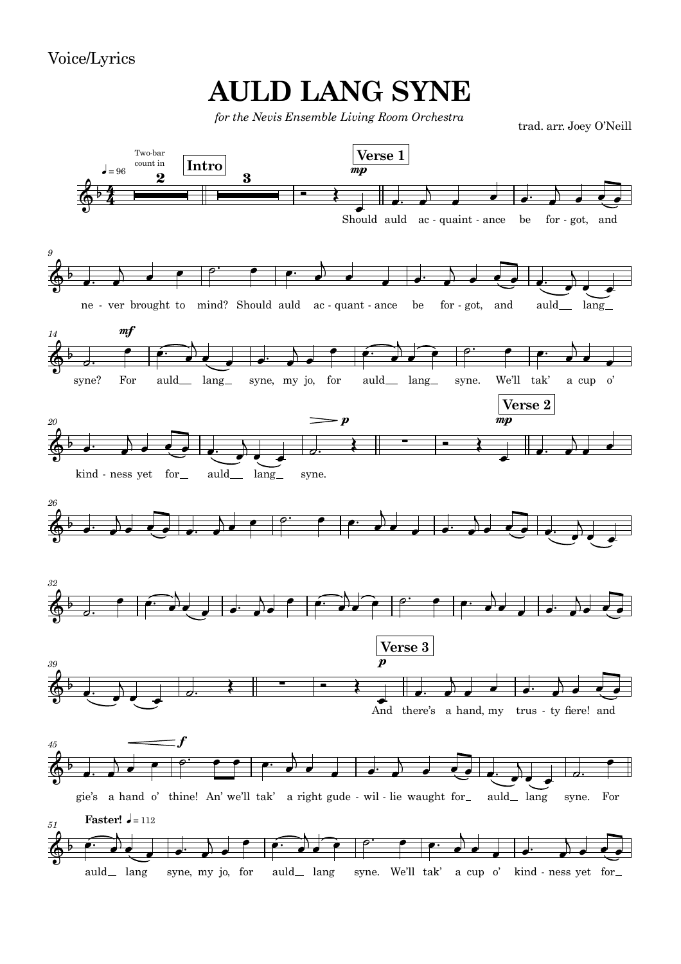Voice/Lyrics

## **AULD LANG SYNE**

*for the Nevis Ensemble Living Room Orchestra*

trad. arr. Joey O'Neill